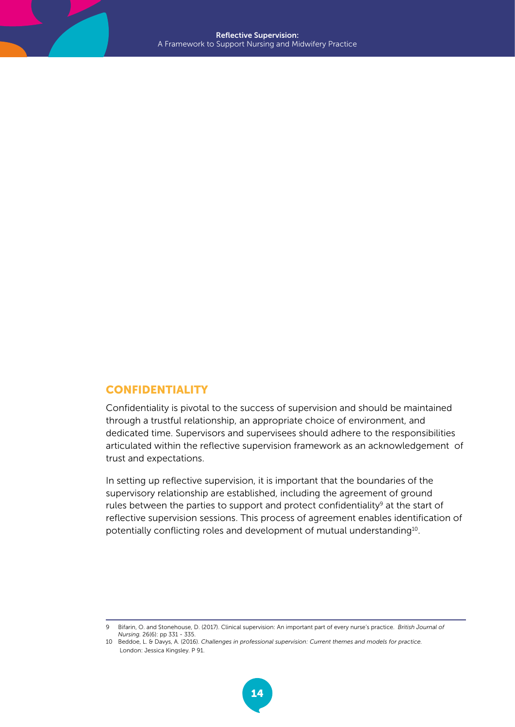## CONFIDENTIALITY

Confidentiality is pivotal to the success of supervision and should be maintained through a trustful relationship, an appropriate choice of environment, and dedicated time. Supervisors and supervisees should adhere to the responsibilities articulated within the reflective supervision framework as an acknowledgement of trust and expectations.

In setting up reflective supervision, it is important that the boundaries of the supervisory relationship are established, including the agreement of ground rules between the parties to support and protect confidentiality<sup>9</sup> at the start of reflective supervision sessions. This process of agreement enables identification of potentially conflicting roles and development of mutual understanding<sup>10</sup>.

9 Bifarin, O. and Stonehouse, D. (2017). Clinical supervision: An important part of every nurse's practice. *British Journal of Nursing.* 26(6): pp 331 - 335.

<sup>10</sup> Beddoe, L. & Davys, A. (2016). *Challenges in professional supervision: Current themes and models for practice.* London: Jessica Kingsley. P 91.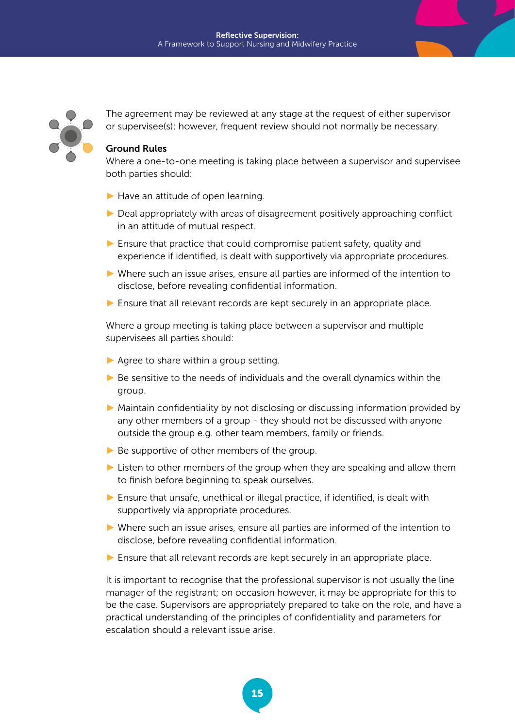

The agreement may be reviewed at any stage at the request of either supervisor or supervisee(s); however, frequent review should not normally be necessary.

## Ground Rules

Where a one-to-one meeting is taking place between a supervisor and supervisee both parties should:

- $\blacktriangleright$  Have an attitude of open learning.
- $\triangleright$  Deal appropriately with areas of disagreement positively approaching conflict in an attitude of mutual respect.
- ► Ensure that practice that could compromise patient safety, quality and experience if identified, is dealt with supportively via appropriate procedures.
- ► Where such an issue arises, ensure all parties are informed of the intention to disclose, before revealing confidential information.
- ► Ensure that all relevant records are kept securely in an appropriate place.

Where a group meeting is taking place between a supervisor and multiple supervisees all parties should:

- $\blacktriangleright$  Agree to share within a group setting.
- $\triangleright$  Be sensitive to the needs of individuals and the overall dynamics within the group.
- ► Maintain confidentiality by not disclosing or discussing information provided by any other members of a group - they should not be discussed with anyone outside the group e.g. other team members, family or friends.
- $\blacktriangleright$  Be supportive of other members of the group.
- ► Listen to other members of the group when they are speaking and allow them to finish before beginning to speak ourselves.
- ► Ensure that unsafe, unethical or illegal practice, if identified, is dealt with supportively via appropriate procedures.
- ► Where such an issue arises, ensure all parties are informed of the intention to disclose, before revealing confidential information.
- ► Ensure that all relevant records are kept securely in an appropriate place.

It is important to recognise that the professional supervisor is not usually the line manager of the registrant; on occasion however, it may be appropriate for this to be the case. Supervisors are appropriately prepared to take on the role, and have a practical understanding of the principles of confidentiality and parameters for escalation should a relevant issue arise.